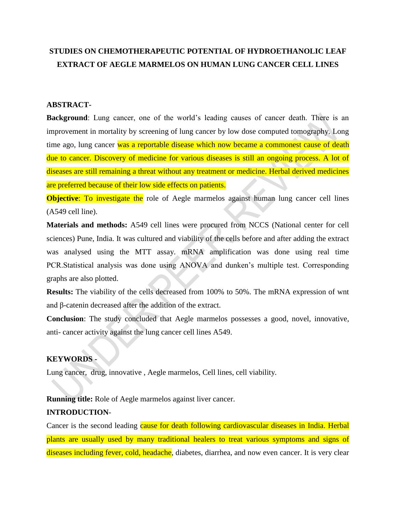# **STUDIES ON CHEMOTHERAPEUTIC POTENTIAL OF HYDROETHANOLIC LEAF EXTRACT OF AEGLE MARMELOS ON HUMAN LUNG CANCER CELL LINES**

#### **ABSTRACT-**

**Background**: Lung cancer, one of the world's leading causes of cancer death. There is an improvement in mortality by screening of lung cancer by low dose computed tomography. Long time ago, lung cancer was a reportable disease which now became a commonest cause of death due to cancer. Discovery of medicine for various diseases is still an ongoing process. A lot of diseases are still remaining a threat without any treatment or medicine. Herbal derived medicines are preferred because of their low side effects on patients.

**Objective:** To investigate the role of Aegle marmelos against human lung cancer cell lines (A549 cell line).

**Materials and methods:** A549 cell lines were procured from NCCS (National center for cell sciences) Pune, India. It was cultured and viability of the cells before and after adding the extract was analysed using the MTT assay. mRNA amplification was done using real time PCR.Statistical analysis was done using ANOVA and dunken's multiple test. Corresponding graphs are also plotted.

**Results:** The viability of the cells decreased from 100% to 50%. The mRNA expression of wnt and β-catenin decreased after the addition of the extract.

**Conclusion**: The study concluded that Aegle marmelos possesses a good, novel, innovative, anti- cancer activity against the lung cancer cell lines A549.

## **KEYWORDS -**

Lung cancer, drug, innovative , Aegle marmelos, Cell lines, cell viability.

**Running title:** Role of Aegle marmelos against liver cancer.

#### **INTRODUCTION**-

Cancer is the second leading cause for death following cardiovascular diseases in India. Herbal plants are usually used by many traditional healers to treat various symptoms and signs of diseases including fever, cold, headache, diabetes, diarrhea, and now even cancer. It is very clear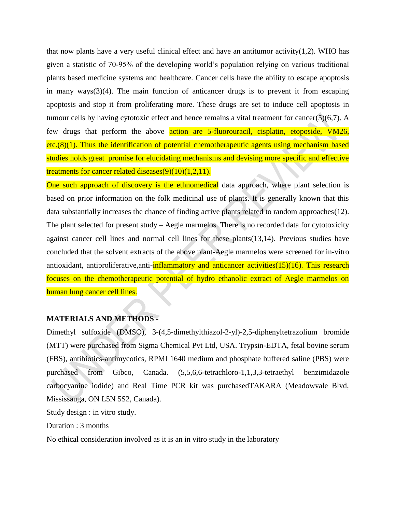that now plants have a very useful clinical effect and have an antitumor activity $(1,2)$ . WHO has given a statistic of 70-95% of the developing world's population relying on various traditional plants based medicine systems and healthcare. Cancer cells have the ability to escape apoptosis in many way[s\(3\)\(4\).](https://paperpile.com/c/rx630y/Ys01) The main function of anticancer drugs is to prevent it from escaping apoptosis and stop it from proliferating more. These drugs are set to induce cell apoptosis in tumour cells by having cytotoxic effect and hence remains a vital treatment for cance[r\(5\)\(6,7\).](https://paperpile.com/c/rx630y/Gtka) A few drugs that perform the above action are 5-fluorouracil, cisplatin, etoposide, VM26,  $etc.(8)(1)$ . Thus the identification of potential chemotherapeutic agents using mechanism based studies holds great promise for elucidating mechanisms and devising more specific and effective treatments for cancer related disease[s\(9\)\(10\)](https://paperpile.com/c/rx630y/jcDf)[\(1,2,11\).](https://paperpile.com/c/rx630y/dvnb+32vD+XWhv)

One such approach of discovery is the ethnomedical data approach, where plant selection is based on prior information on the folk medicinal use of plants. It is generally known that this data substantially increases the chance of finding active plants related to random approache[s\(12\).](https://paperpile.com/c/rx630y/KANp) The plant selected for present study – Aegle marmelos. There is no recorded data for cytotoxicity against cancer cell lines and normal cell lines for these plant[s\(13,14\).](https://paperpile.com/c/rx630y/hjGr+SQyY) Previous studies have concluded that the solvent extracts of the above plant-Aegle marmelos were screened for in-vitro antioxidant, antiproliferative, anti- $\frac{inflammatory}{and}$  anticancer activitie[s\(15\)\(16\).](https://paperpile.com/c/rx630y/MShX) This research focuses on the chemotherapeutic potential of hydro ethanolic extract of Aegle marmelos on human lung cancer cell lines.

#### **MATERIALS AND METHODS -**

Dimethyl sulfoxide (DMSO), 3-(4,5-dimethylthiazol-2-yl)-2,5-diphenyltetrazolium bromide (MTT) were purchased from Sigma Chemical Pvt Ltd, USA. Trypsin-EDTA, fetal bovine serum (FBS), antibiotics-antimycotics, RPMI 1640 medium and phosphate buffered saline (PBS) were purchased from Gibco, Canada. (5,5,6,6-tetrachloro-1,1,3,3-tetraethyl benzimidazole carbocyanine iodide) and Real Time PCR kit was purchasedTAKARA (Meadowvale Blvd, Mississauga, ON L5N 5S2, Canada).

Study design : in vitro study.

Duration : 3 months

No ethical consideration involved as it is an in vitro study in the laboratory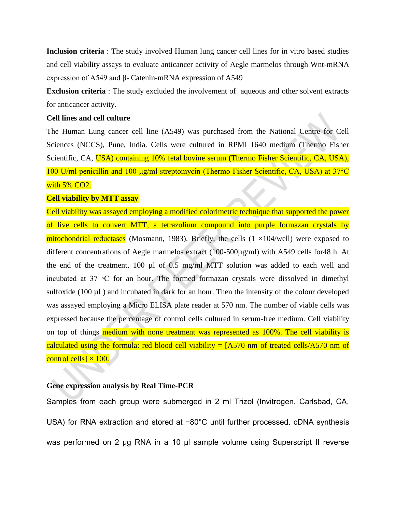**Inclusion criteria** : The study involved Human lung cancer cell lines for in vitro based studies and cell viability assays to evaluate anticancer activity of Aegle marmelos through Wnt-mRNA expression of A549 and β- Catenin-mRNA expression of A549

**Exclusion criteria** : The study excluded the involvement of aqueous and other solvent extracts for anticancer activity.

#### **Cell lines and cell culture**

The Human Lung cancer cell line (A549) was purchased from the National Centre for Cell Sciences (NCCS), Pune, India. Cells were cultured in RPMI 1640 medium (Thermo Fisher Scientific, CA, USA) containing 10% fetal bovine serum (Thermo Fisher Scientific, CA, USA), 100 U/ml penicillin and 100 μg/ml streptomycin (Thermo Fisher Scientific, CA, USA) at 37°C with 5% CO2.

#### **Cell viability by MTT assay**

Cell viability was assayed employing a modified colorimetric technique that supported the power of live cells to convert MTT, a tetrazolium compound into purple formazan crystals by mitochondrial reductases (Mosmann, 1983). Briefly, the cells  $(1 \times 104$ /well) were exposed to different concentrations of Aegle marmelos extract (100-500µg/ml) with A549 cells for48 h. At the end of the treatment, 100 µl of 0.5 mg/ml MTT solution was added to each well and incubated at 37 ◦C for an hour. The formed formazan crystals were dissolved in dimethyl sulfoxide (100 µl) and incubated in dark for an hour. Then the intensity of the colour developed was assayed employing a Micro ELISA plate reader at 570 nm. The number of viable cells was expressed because the percentage of control cells cultured in serum-free medium. Cell viability on top of things medium with none treatment was represented as 100%. The cell viability is calculated using the formula: red blood cell viability =  $[A570 \text{ nm of}$  treated cells/A570 nm of control cells]  $\times$  100.

#### **Gene expression analysis by Real Time-PCR**

Samples from each group were submerged in 2 ml Trizol (Invitrogen, Carlsbad, CA, USA) for RNA extraction and stored at −80°C until further processed. cDNA synthesis was performed on 2 μg RNA in a 10 μl sample volume using Superscript II reverse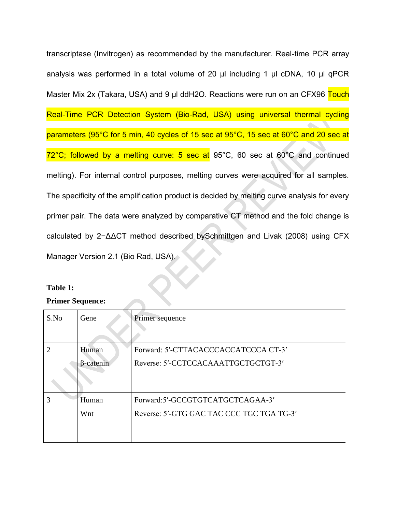transcriptase (Invitrogen) as recommended by the manufacturer. Real-time PCR array analysis was performed in a total volume of 20 μl including 1 μl cDNA, 10 μl qPCR Master Mix 2x (Takara, USA) and 9 μl ddH2O. Reactions were run on an CFX96 Touch Real-Time PCR Detection System (Bio-Rad, USA) using universal thermal cycling parameters (95°C for 5 min, 40 cycles of 15 sec at 95°C, 15 sec at 60°C and 20 sec at 72°C; followed by a melting curve: 5 sec at 95°C, 60 sec at 60°C and continued melting). For internal control purposes, melting curves were acquired for all samples. The specificity of the amplification product is decided by melting curve analysis for every primer pair. The data were analyzed by comparative CT method and the fold change is calculated by 2−ΔΔCT method described bySchmittgen and Livak (2008) using CFX Manager Version 2.1 (Bio Rad, USA).

## **Table 1:**

## **Primer Sequence:**

| S.No | Gene                      | Primer sequence                                                               |
|------|---------------------------|-------------------------------------------------------------------------------|
|      | Human<br>$\beta$ -catenin | Forward: 5'-CTTACACCCACCATCCCA CT-3'<br>Reverse: 5'-CCTCCACAAATTGCTGCTGT-3'   |
|      | Human<br>Wnt              | Forward:5'-GCCGTGTCATGCTCAGAA-3'<br>Reverse: 5'-GTG GAC TAC CCC TGC TGA TG-3' |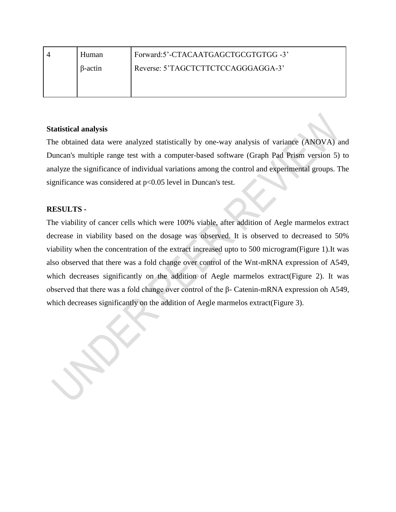| Human          | Forward:5'-CTACAATGAGCTGCGTGTGG-3' |
|----------------|------------------------------------|
| $\beta$ -actin | Reverse: 5'TAGCTCTTCTCCAGGGAGGA-3' |
|                |                                    |

# **Statistical analysis**

The obtained data were analyzed statistically by one-way analysis of variance (ANOVA) and Duncan's multiple range test with a computer-based software (Graph Pad Prism version 5) to analyze the significance of individual variations among the control and experimental groups. The significance was considered at p<0.05 level in Duncan's test.

# **RESULTS -**

The viability of cancer cells which were 100% viable, after addition of Aegle marmelos extract decrease in viability based on the dosage was observed. It is observed to decreased to 50% viability when the concentration of the extract increased upto to 500 microgram(Figure 1).It was also observed that there was a fold change over control of the Wnt-mRNA expression of A549, which decreases significantly on the addition of Aegle marmelos extract (Figure 2). It was observed that there was a fold change over control of the β- Catenin-mRNA expression oh A549, which decreases significantly on the addition of Aegle marmelos extract(Figure 3).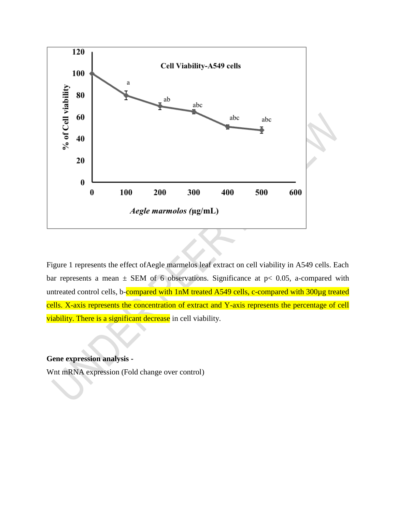

Figure 1 represents the effect ofAegle marmelos leaf extract on cell viability in A549 cells. Each bar represents a mean  $\pm$  SEM of 6 observations. Significance at p< 0.05, a-compared with untreated control cells, b-compared with 1nM treated A549 cells, c-compared with 300µg treated cells. X-axis represents the concentration of extract and Y-axis represents the percentage of cell viability. There is a significant decrease in cell viability.

# **Gene expression analysis -**

Wnt mRNA expression (Fold change over control)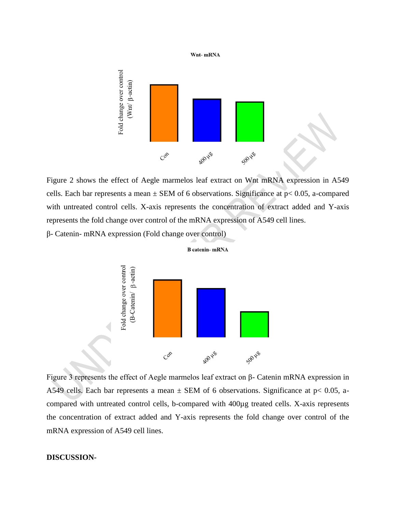

Figure 2 shows the effect of Aegle marmelos leaf extract on Wnt mRNA expression in A549 cells. Each bar represents a mean  $\pm$  SEM of 6 observations. Significance at  $p$ < 0.05, a-compared with untreated control cells. X-axis represents the concentration of extract added and Y-axis represents the fold change over control of the mRNA expression of A549 cell lines.

β- Catenin- mRNA expression (Fold change over control)



**B** catenin-mRNA

Figure 3 represents the effect of Aegle marmelos leaf extract on β- Catenin mRNA expression in A549 cells. Each bar represents a mean  $\pm$  SEM of 6 observations. Significance at p< 0.05, acompared with untreated control cells, b-compared with 400µg treated cells. X-axis represents the concentration of extract added and Y-axis represents the fold change over control of the mRNA expression of A549 cell lines.

#### **DISCUSSION-**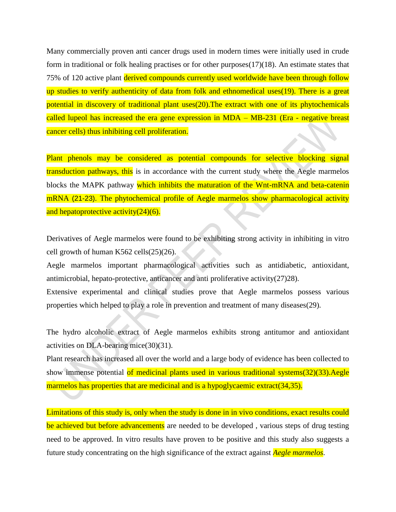Many commercially proven anti cancer drugs used in modern times were initially used in crude form in traditional or folk healing practises or for other purpose[s\(17\)\(18\).](https://paperpile.com/c/rx630y/HTb1) An estimate states that 75% of 120 active plant derived compounds currently used worldwide have been through follow up studies to verify authenticity of data from folk and ethnomedical uses (19). There is a great potential in discovery of traditional plant use[s\(20\).](https://paperpile.com/c/rx630y/rZuc)The extract with one of its phytochemicals called lupeol has increased the era gene expression in MDA – MB-231 (Era - negative breast cancer cells) thus inhibiting cell proliferation.

Plant phenols may be considered as potential compounds for selective blocking signal transduction pathways, this is in accordance with the current study where the Aegle marmelos blocks the MAPK pathway which inhibits the maturation of the Wnt-mRNA and beta-catenin mRNA (21-23). The phytochemical profile of Aegle marmelos show pharmacological activity and hepatoprotective activity $(24)(6)$ .

Derivatives of Aegle marmelos were found to be exhibiting strong activity in inhibiting in vitro cell growth of human K562 cell[s\(25\)\(26\).](https://paperpile.com/c/rx630y/SfTS)

Aegle marmelos important pharmacological activities such as antidiabetic, antioxidant, antimicrobial, hepato-protective, anticancer and anti proliferative activit[y\(27\)28\).](https://paperpile.com/c/rx630y/TGFP)

Extensive experimental and clinical studies prove that Aegle marmelos possess various properties which helped to play a role in prevention and treatment of many disease[s\(29\).](https://paperpile.com/c/rx630y/dj8Y)

The hydro alcoholic extract of Aegle marmelos exhibits strong antitumor and antioxidant activities on DLA-bearing mic[e\(30\)\(31\).](https://paperpile.com/c/rx630y/NuFY)

Plant research has increased all over the world and a large body of evidence has been collected to show immense potential of medicinal plants used in various traditional system[s\(32\)\(33\).](https://paperpile.com/c/rx630y/AkgJ) Aegle marmelos has properties that are medicinal and is a hypoglycaemic extract (34,35).

Limitations of this study is, only when the study is done in in vivo conditions, exact results could be achieved but before advancements are needed to be developed, various steps of drug testing need to be approved. In vitro results have proven to be positive and this study also suggests a future study concentrating on the high significance of the extract against *Aegle marmelos*.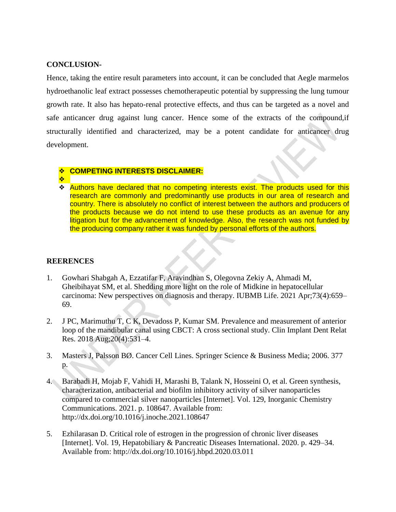## **CONCLUSION-**

Hence, taking the entire result parameters into account, it can be concluded that Aegle marmelos hydroethanolic leaf extract possesses chemotherapeutic potential by suppressing the lung tumour growth rate. It also has hepato-renal protective effects, and thus can be targeted as a novel and safe anticancer drug against lung cancer. Hence some of the extracts of the compound,if structurally identified and characterized, may be a potent candidate for anticancer drug development.

## ❖ **COMPETING INTERESTS DISCLAIMER:**

- ❖
- ❖ Authors have declared that no competing interests exist. The products used for this research are commonly and predominantly use products in our area of research and country. There is absolutely no conflict of interest between the authors and producers of the products because we do not intend to use these products as an avenue for any litigation but for the advancement of knowledge. Also, the research was not funded by the producing company rather it was funded by personal efforts of the authors.

# **REERENCES**

- 1. [Gowhari Shabgah A, Ezzatifar F, Aravindhan S, Olegovna Zekiy A, Ahmadi M,](http://paperpile.com/b/rx630y/dvnb)  [Gheibihayat SM, et al. Shedding more light on the role of Midkine in hepatocellular](http://paperpile.com/b/rx630y/dvnb) [carcinoma: New perspectives on diagnosis and therapy. IUBMB Life. 2021 Apr;73\(4\):659–](http://paperpile.com/b/rx630y/dvnb) [69.](http://paperpile.com/b/rx630y/dvnb)
- 2. [J PC, Marimuthu T, C K, Devadoss P, Kumar SM. Prevalence and measurement of anterior](http://paperpile.com/b/rx630y/32vD)  [loop of the mandibular canal using CBCT: A cross sectional study. Clin Implant Dent Relat](http://paperpile.com/b/rx630y/32vD)  [Res. 2018 Aug;20\(4\):531–4.](http://paperpile.com/b/rx630y/32vD)
- 3. [Masters J, Palsson BØ. Cancer Cell Lines. Springer Science & Business Media; 2006. 377](http://paperpile.com/b/rx630y/Ys01)  [p.](http://paperpile.com/b/rx630y/Ys01)
- 4. [Barabadi H, Mojab F, Vahidi H, Marashi B, Talank N, Hosseini O, et al. Green synthesis,](http://paperpile.com/b/rx630y/Bhhh)  [characterization, antibacterial and biofilm inhibitory activity of silver nanoparticles](http://paperpile.com/b/rx630y/Bhhh)  [compared to commercial silver nanoparticles \[Internet\]. Vol. 129, Inorganic Chemistry](http://paperpile.com/b/rx630y/Bhhh)  [Communications. 2021. p. 108647. Available from:](http://paperpile.com/b/rx630y/Bhhh)  [http://dx.doi.org/10.1016/j.inoche.2021.108647](http://paperpile.com/b/rx630y/Bhhh)
- 5. [Ezhilarasan D. Critical role of estrogen in the progression of chronic liver diseases](http://paperpile.com/b/rx630y/Gtka)  [\[Internet\]. Vol. 19, Hepatobiliary & Pancreatic Diseases International. 2020. p. 429–34.](http://paperpile.com/b/rx630y/Gtka)  [Available from: http://dx.doi.org/10.1016/j.hbpd.2020.03.011](http://paperpile.com/b/rx630y/Gtka)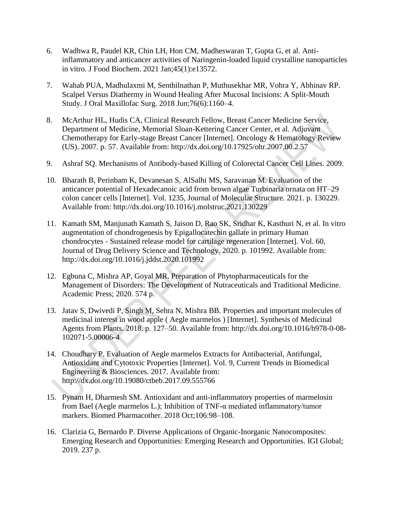- 6. [Wadhwa R, Paudel KR, Chin LH, Hon CM, Madheswaran T, Gupta G, et al. Anti](http://paperpile.com/b/rx630y/9W2G)[inflammatory and anticancer activities of Naringenin-loaded liquid crystalline nanoparticles](http://paperpile.com/b/rx630y/9W2G)  [in vitro. J Food Biochem. 2021 Jan;45\(1\):e13572.](http://paperpile.com/b/rx630y/9W2G)
- 7. [Wahab PUA, Madhulaxmi M, Senthilnathan P, Muthusekhar MR, Vohra Y, Abhinav](http://paperpile.com/b/rx630y/OXs8) RP. [Scalpel Versus Diathermy in Wound Healing After Mucosal Incisions: A Split-Mouth](http://paperpile.com/b/rx630y/OXs8)  [Study. J Oral Maxillofac Surg. 2018 Jun;76\(6\):1160–4.](http://paperpile.com/b/rx630y/OXs8)
- 8. [McArthur HL, Hudis CA, Clinical Research Fellow, Breast Cancer Medicine Service,](http://paperpile.com/b/rx630y/ukZv)  [Department of Medicine, Memorial Sloan-Kettering Cancer Center, et al. Adjuvant](http://paperpile.com/b/rx630y/ukZv)  [Chemotherapy for Early-stage Breast Cancer \[Internet\]. Oncology & Hematology Review](http://paperpile.com/b/rx630y/ukZv)  [\(US\). 2007. p. 57. Available from: http://dx.doi.org/10.17925/ohr.2007.00.2.57](http://paperpile.com/b/rx630y/ukZv)
- 9. [Ashraf SQ. Mechanisms of Antibody-based Killing of Colorectal Cancer Cell Lines. 2009.](http://paperpile.com/b/rx630y/jcDf)
- 10. [Bharath B, Perinbam K, Devanesan S, AlSalhi MS, Saravanan M. Evaluation of the](http://paperpile.com/b/rx630y/lSQA)  [anticancer potential of Hexadecanoic acid from brown algae Turbinaria ornata on HT–29](http://paperpile.com/b/rx630y/lSQA)  [colon cancer cells \[Internet\]. Vol. 1235, Journal of Molecular Structure. 2021. p. 130229.](http://paperpile.com/b/rx630y/lSQA)  [Available from: http://dx.doi.org/10.1016/j.molstruc.2021.130229](http://paperpile.com/b/rx630y/lSQA)
- 11. [Kamath SM, Manjunath Kamath S, Jaison D, Rao SK, Sridhar K, Kasthuri N, et al. In vitro](http://paperpile.com/b/rx630y/XWhv)  [augmentation of chondrogenesis by Epigallocatechin gallate in primary Human](http://paperpile.com/b/rx630y/XWhv)  chondrocytes - [Sustained release model for cartilage regeneration \[Internet\]. Vol. 60,](http://paperpile.com/b/rx630y/XWhv)  [Journal of Drug Delivery Science and Technology. 2020. p. 101992. Available from:](http://paperpile.com/b/rx630y/XWhv)  [http://dx.doi.org/10.1016/j.jddst.2020.101992](http://paperpile.com/b/rx630y/XWhv)
- 12. [Egbuna C, Mishra AP, Goyal MR. Preparation of Phytopharmaceuticals for the](http://paperpile.com/b/rx630y/KANp)  [Management of Disorders: The Development of Nutraceuticals and Traditional Medicine.](http://paperpile.com/b/rx630y/KANp)  [Academic Press; 2020. 574 p.](http://paperpile.com/b/rx630y/KANp)
- 13. [Jatav S, Dwivedi P, Singh M, Sehra N, Mishra BB. Properties and important molecules of](http://paperpile.com/b/rx630y/hjGr)  [medicinal interest in wood apple \( Aegle marmelos \) \[Internet\]. Synthesis of Medicinal](http://paperpile.com/b/rx630y/hjGr)  [Agents from Plants. 2018. p. 127–50. Available from: http://dx.doi.org/10.1016/b978-0-08-](http://paperpile.com/b/rx630y/hjGr) 102071-5.00006-4
- 14. [Choudhary P. Evaluation of Aegle marmelos Extracts for Antibacterial, Antifungal,](http://paperpile.com/b/rx630y/SQyY)  [Antioxidant and Cytotoxic Properties \[Internet\]. Vol. 9, Current Trends in Biomedical](http://paperpile.com/b/rx630y/SQyY)  [Engineering & Biosciences. 2017. Available from:](http://paperpile.com/b/rx630y/SQyY)  [http://dx.doi.org/10.19080/ctbeb.2017.09.555766](http://paperpile.com/b/rx630y/SQyY)
- 15. [Pynam H, Dharmesh SM. Antioxidant and anti-inflammatory properties of marmelosin](http://paperpile.com/b/rx630y/MShX)  [from Bael \(Aegle marmelos L.\); Inhibition of TNF-α mediated inflammatory/tumor](http://paperpile.com/b/rx630y/MShX)  [markers. Biomed Pharmacother. 2018 Oct;106:98–108.](http://paperpile.com/b/rx630y/MShX)
- 16. Clarizia [G, Bernardo P. Diverse Applications of Organic-Inorganic Nanocomposites:](http://paperpile.com/b/rx630y/4jgP)  [Emerging Research and Opportunities: Emerging Research and Opportunities. IGI Global;](http://paperpile.com/b/rx630y/4jgP)  [2019. 237 p.](http://paperpile.com/b/rx630y/4jgP)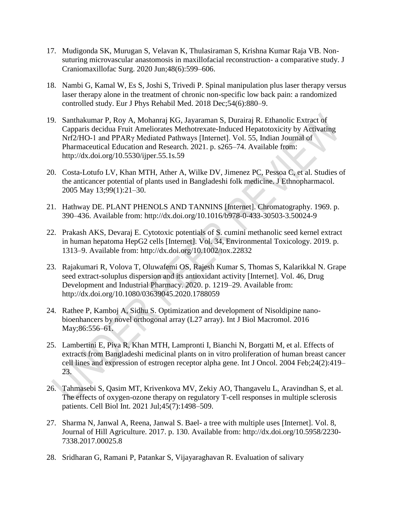- 17. [Mudigonda SK, Murugan S, Velavan K, Thulasiraman S, Krishna Kumar Raja VB. Non](http://paperpile.com/b/rx630y/HTb1)[suturing microvascular anastomosis in maxillofacial reconstruction-](http://paperpile.com/b/rx630y/HTb1) a comparative study. J [Craniomaxillofac Surg. 2020 Jun;48\(6\):599–606.](http://paperpile.com/b/rx630y/HTb1)
- 18. [Nambi G, Kamal W, Es S, Joshi S, Trivedi P. Spinal manipulation plus laser therapy versus](http://paperpile.com/b/rx630y/Gqdk)  [laser therapy alone in the treatment of chronic non-specific low back pain: a randomized](http://paperpile.com/b/rx630y/Gqdk)  [controlled study. Eur J Phys Rehabil Med. 2018 Dec;54\(6\):880–9.](http://paperpile.com/b/rx630y/Gqdk)
- 19. [Santhakumar P, Roy A, Mohanraj KG, Jayaraman S, Durairaj R. Ethanolic Extract of](http://paperpile.com/b/rx630y/4JFQ)  [Capparis decidua Fruit Ameliorates Methotrexate-Induced Hepatotoxicity by Activating](http://paperpile.com/b/rx630y/4JFQ)  [Nrf2/HO-1 and PPARγ Mediated Pathways \[Internet\]. Vol. 55, Indian Journal of](http://paperpile.com/b/rx630y/4JFQ)  [Pharmaceutical Education and Research. 2021. p. s265–74. Available from:](http://paperpile.com/b/rx630y/4JFQ)  [http://dx.doi.org/10.5530/ijper.55.1s.59](http://paperpile.com/b/rx630y/4JFQ)
- 20. [Costa-Lotufo LV, Khan MTH, Ather A, Wilke DV, Jimenez PC, Pessoa C, et al. Studies of](http://paperpile.com/b/rx630y/rZuc)  [the anticancer potential of plants used in Bangladeshi folk medicine. J Ethnopharmacol.](http://paperpile.com/b/rx630y/rZuc)  [2005 May 13;99\(1\):21–30.](http://paperpile.com/b/rx630y/rZuc)
- 21. [Hathway DE. PLANT PHENOLS AND TANNINS \[Internet\]. Chromatography. 1969. p.](http://paperpile.com/b/rx630y/iHxn)  [390–436. Available from: http://dx.doi.org/10.1016/b978-0-433-30503-3.50024-9](http://paperpile.com/b/rx630y/iHxn)
- 22. [Prakash AKS, Devaraj E. Cytotoxic potentials of S. cumini methanolic seed kernel extract](http://paperpile.com/b/rx630y/5hUP)  [in human hepatoma HepG2 cells \[Internet\]. Vol. 34, Environmental Toxicology. 2019. p.](http://paperpile.com/b/rx630y/5hUP)  [1313–9. Available from: http://dx.doi.org/10.1002/tox.22832](http://paperpile.com/b/rx630y/5hUP)
- 23. [Rajakumari R, Volova T, Oluwafemi OS, Rajesh Kumar S, Thomas S, Kalarikkal N. Grape](http://paperpile.com/b/rx630y/Yj3l)  [seed extract-soluplus dispersion and its antioxidant activity \[Internet\]. Vol. 46, Drug](http://paperpile.com/b/rx630y/Yj3l)  [Development and Industrial Pharmacy. 2020. p. 1219–29. Available from:](http://paperpile.com/b/rx630y/Yj3l)  [http://dx.doi.org/10.1080/03639045.2020.1788059](http://paperpile.com/b/rx630y/Yj3l)
- 24. [Rathee P, Kamboj A, Sidhu S. Optimization and development of Nisoldipine nano](http://paperpile.com/b/rx630y/CU42)[bioenhancers by novel orthogonal array \(L27 array\). Int J Biol Macromol. 2016](http://paperpile.com/b/rx630y/CU42)  [May;86:556–61.](http://paperpile.com/b/rx630y/CU42)
- 25. [Lambertini E, Piva R, Khan MTH, Lampronti I, Bianchi N, Borgatti M, et al. Effects of](http://paperpile.com/b/rx630y/SfTS)  [extracts from Bangladeshi medicinal plants on in vitro proliferation of human breast cancer](http://paperpile.com/b/rx630y/SfTS)  [cell lines and expression of estrogen receptor alpha gene. Int J Oncol. 2004 Feb;24\(2\):419–](http://paperpile.com/b/rx630y/SfTS) [23.](http://paperpile.com/b/rx630y/SfTS)
- 26. [Tahmasebi S, Qasim MT, Krivenkova MV, Zekiy AO, Thangavelu L, Aravindhan S, et al.](http://paperpile.com/b/rx630y/D7tI)  [The effects of oxygen-ozone therapy on regulatory T-cell responses in multiple sclerosis](http://paperpile.com/b/rx630y/D7tI)  [patients. Cell Biol Int. 2021 Jul;45\(7\):1498–509.](http://paperpile.com/b/rx630y/D7tI)
- 27. [Sharma N, Janwal A, Reena, Janwal S. Bael-](http://paperpile.com/b/rx630y/TGFP) a tree with multiple uses [Internet]. Vol. 8, [Journal of Hill Agriculture. 2017. p. 130. Available from: http://dx.doi.org/10.5958/2230-](http://paperpile.com/b/rx630y/TGFP) 7338.2017.00025.8
- 28. [Sridharan G, Ramani P, Patankar S, Vijayaraghavan R. Evaluation of salivary](http://paperpile.com/b/rx630y/DiQ6)